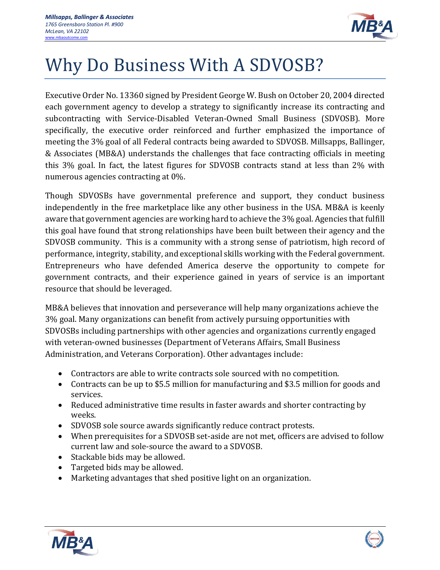

## Why Do Business With A SDVOSB?

Executive Order No. 13360 signed by President George W. Bush on October 20, 2004 directed each government agency to develop a strategy to significantly increase its contracting and subcontracting with Service-Disabled Veteran-Owned Small Business (SDVOSB). More specifically, the executive order reinforced and further emphasized the importance of meeting the 3% goal of all Federal contracts being awarded to SDVOSB. Millsapps, Ballinger, & Associates (MB&A) understands the challenges that face contracting officials in meeting this 3% goal. In fact, the latest figures for SDVOSB contracts stand at less than 2% with numerous agencies contracting at 0%.

Though SDVOSBs have governmental preference and support, they conduct business independently in the free marketplace like any other business in the USA. MB&A is keenly aware that government agencies are working hard to achieve the 3% goal. Agencies that fulfill this goal have found that strong relationships have been built between their agency and the SDVOSB community. This is a community with a strong sense of patriotism, high record of performance, integrity, stability, and exceptional skills working with the Federal government. Entrepreneurs who have defended America deserve the opportunity to compete for government contracts, and their experience gained in years of service is an important resource that should be leveraged.

MB&A believes that innovation and perseverance will help many organizations achieve the 3% goal. Many organizations can benefit from actively pursuing opportunities with SDVOSBs including partnerships with other agencies and organizations currently engaged with veteran-owned businesses (Department of Veterans Affairs, Small Business Administration, and Veterans Corporation). Other advantages include:

- Contractors are able to write contracts sole sourced with no competition.
- Contracts can be up to \$5.5 million for manufacturing and \$3.5 million for goods and services.
- Reduced administrative time results in faster awards and shorter contracting by weeks.
- SDVOSB sole source awards significantly reduce contract protests.
- When prerequisites for a SDVOSB set-aside are not met, officers are advised to follow current law and sole-source the award to a SDVOSB.
- Stackable bids may be allowed.
- Targeted bids may be allowed.
- Marketing advantages that shed positive light on an organization.